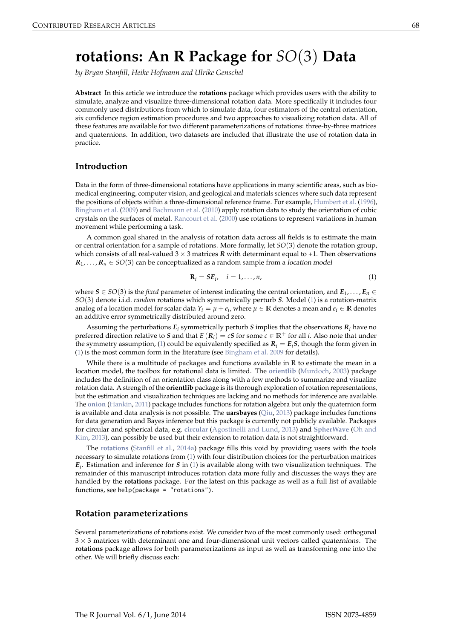# <span id="page-0-1"></span>**rotations: An R Package for** *SO*(3) **Data**

*by Bryan Stanfill, Heike Hofmann and Ulrike Genschel*

**Abstract** In this article we introduce the **rotations** package which provides users with the ability to simulate, analyze and visualize three-dimensional rotation data. More specifically it includes four commonly used distributions from which to simulate data, four estimators of the central orientation, six confidence region estimation procedures and two approaches to visualizing rotation data. All of these features are available for two different parameterizations of rotations: three-by-three matrices and quaternions. In addition, two datasets are included that illustrate the use of rotation data in practice.

## **Introduction**

Data in the form of three-dimensional rotations have applications in many scientific areas, such as biomedical engineering, computer vision, and geological and materials sciences where such data represent the positions of objects within a three-dimensional reference frame. For example, [Humbert et al.](#page-9-0) [\(1996\)](#page-9-0), [Bingham et al.](#page-8-0) [\(2009\)](#page-8-0) and [Bachmann et al.](#page-8-1) [\(2010\)](#page-8-1) apply rotation data to study the orientation of cubic crystals on the surfaces of metal. [Rancourt et al.](#page-9-1) [\(2000\)](#page-9-1) use rotations to represent variations in human movement while performing a task.

A common goal shared in the analysis of rotation data across all fields is to estimate the main or central orientation for a sample of rotations. More formally, let *SO*(3) denote the rotation group, which consists of all real-valued  $3 \times 3$  matrices  $\bf{R}$  with determinant equal to +1. Then observations  $R_1, \ldots, R_n \in SO(3)$  can be conceptualized as a random sample from a *location model* 

<span id="page-0-0"></span>
$$
\mathbf{R}_i = S E_i, \quad i = 1, \dots, n,
$$
\n(1)

where  $S \in SO(3)$  is the *fixed* parameter of interest indicating the central orientation, and  $E_1, \ldots, E_n \in$ *SO*(3) denote i.i.d. *random* rotations which symmetrically perturb *S*. Model [\(1\)](#page-0-0) is a rotation-matrix analog of a location model for scalar data  $Y_i = \mu + e_i$ , where  $\mu \in \mathbb{R}$  denotes a mean and  $e_i \in \mathbb{R}$  denotes an additive error symmetrically distributed around zero.

Assuming the perturbations  $E_i$  symmetrically perturb *S* implies that the observations  $R_i$  have no preferred direction relative to *S* and that  $E(R_i) = cS$  for some  $c \in \mathbb{R}^+$  for all *i*. Also note that under the symmetry assumption, [\(1\)](#page-0-0) could be equivalently specified as  $R_i = E_i S$ , though the form given in [\(1\)](#page-0-0) is the most common form in the literature (see [Bingham et al.](#page-8-0) [2009](#page-8-0) for details).

While there is a multitude of packages and functions available in R to estimate the mean in a location model, the toolbox for rotational data is limited. The **[orientlib](http://CRAN.R-project.org/package=orientlib)** [\(Murdoch,](#page-9-2) [2003\)](#page-9-2) package includes the definition of an orientation class along with a few methods to summarize and visualize rotation data. A strength of the **orientlib** package is its thorough exploration of rotation representations, but the estimation and visualization techniques are lacking and no methods for inference are available. The **[onion](http://CRAN.R-project.org/package=onion)** [\(Hankin,](#page-9-3) [2011\)](#page-9-3) package includes functions for rotation algebra but only the quaternion form is available and data analysis is not possible. The **uarsbayes** [\(Qiu,](#page-9-4) [2013\)](#page-9-4) package includes functions for data generation and Bayes inference but this package is currently not publicly available. Packages for circular and spherical data, e.g. **[circular](http://CRAN.R-project.org/package=circular)** [\(Agostinelli and Lund,](#page-8-2) [2013\)](#page-8-2) and **[SpherWave](http://CRAN.R-project.org/package=SpherWave)** [\(Oh and](#page-9-5) [Kim,](#page-9-5) [2013\)](#page-9-5), can possibly be used but their extension to rotation data is not straightforward.

The **[rotations](http://CRAN.R-project.org/package=rotations)** [\(Stanfill et al.,](#page-10-0) [2014a\)](#page-10-0) package fills this void by providing users with the tools necessary to simulate rotations from [\(1\)](#page-0-0) with four distribution choices for the perturbation matrices *Ei* . Estimation and inference for *S* in [\(1\)](#page-0-0) is available along with two visualization techniques. The remainder of this manuscript introduces rotation data more fully and discusses the ways they are handled by the **rotations** package. For the latest on this package as well as a full list of available functions, see help(package = "rotations").

## **Rotation parameterizations**

Several parameterizations of rotations exist. We consider two of the most commonly used: orthogonal  $3 \times 3$  matrices with determinant one and four-dimensional unit vectors called *quaternions*. The **rotations** package allows for both parameterizations as input as well as transforming one into the other. We will briefly discuss each: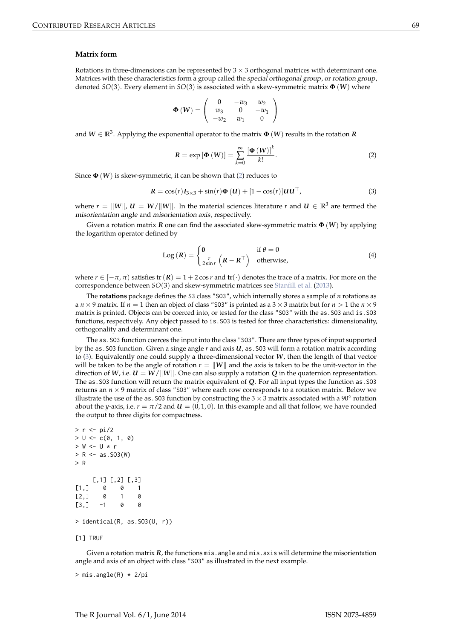#### <span id="page-1-3"></span>**Matrix form**

Rotations in three-dimensions can be represented by  $3 \times 3$  orthogonal matrices with determinant one. Matrices with these characteristics form a group called the special orthogonal group, or rotation group, denoted *SO*(3). Every element in *SO*(3) is associated with a skew-symmetric matrix **Φ** (*W*) where

$$
\Phi\left(W\right) = \left(\begin{array}{ccc} 0 & -w_3 & w_2 \\ w_3 & 0 & -w_1 \\ -w_2 & w_1 & 0 \end{array}\right)
$$

and  $W \in \mathbb{R}^3$ . Applying the exponential operator to the matrix  $\Phi\left(W\right)$  results in the rotation  $R$ 

<span id="page-1-1"></span><span id="page-1-0"></span>
$$
R = \exp\left[\Phi\left(W\right)\right] = \sum_{k=0}^{\infty} \frac{\left[\Phi\left(W\right)\right]^k}{k!}.
$$
 (2)

Since  $\Phi(W)$  is skew-symmetric, it can be shown that [\(2\)](#page-1-0) reduces to

$$
\mathbf{R} = \cos(r)\mathbf{I}_{3\times 3} + \sin(r)\mathbf{\Phi}\left(\mathbf{U}\right) + \left[1 - \cos(r)\right]\mathbf{U}\mathbf{U}^\top,\tag{3}
$$

where  $r = ||W||$ ,  $U = W/||W||$ . In the material sciences literature *r* and  $U \in \mathbb{R}^3$  are termed the misorientation angle and misorientation axis, respectively.

Given a rotation matrix *R* one can find the associated skew-symmetric matrix **Φ** (*W*) by applying the logarithm operator defined by

<span id="page-1-2"></span>
$$
Log (R) = \begin{cases} 0 & \text{if } \theta = 0\\ \frac{r}{2\sin r} \left( R - R^{\top} \right) & \text{otherwise,} \end{cases}
$$
(4)

where  $r \in [-\pi, \pi]$  satisfies  $tr(R) = 1 + 2 \cos r$  and  $tr(\cdot)$  denotes the trace of a matrix. For more on the correspondence between *SO*(3) and skew-symmetric matrices see [Stanfill et al.](#page-10-1) [\(2013\)](#page-10-1).

The **rotations** package defines the S3 class "SO3", which internally stores a sample of *n* rotations as a  $n \times 9$  matrix. If  $n = 1$  then an object of class "S03" is printed as a  $3 \times 3$  matrix but for  $n > 1$  the  $n \times 9$ matrix is printed. Objects can be coerced into, or tested for the class "SO3" with the as.SO3 and is.SO3 functions, respectively. Any object passed to is.SO3 is tested for three characteristics: dimensionality, orthogonality and determinant one.

The as.SO3 function coerces the input into the class "SO3". There are three types of input supported by the as.SO3 function. Given a singe angle *r* and axis *U*, as.SO3 will form a rotation matrix according to [\(3\)](#page-1-1). Equivalently one could supply a three-dimensional vector *W*, then the length of that vector will be taken to be the angle of rotation  $r = ||W||$  and the axis is taken to be the unit-vector in the direction of *W*, i.e.  $U = W/||W||$ . One can also supply a rotation *Q* in the quaternion representation. The as.SO3 function will return the matrix equivalent of *Q*. For all input types the function as.SO3 returns an  $n \times 9$  matrix of class "S03" where each row corresponds to a rotation matrix. Below we illustrate the use of the as . S03 function by constructing the 3  $\times$  3 matrix associated with a 90° rotation about the *y*-axis, i.e.  $r = \pi/2$  and  $\mathbf{U} = (0, 1, 0)$ . In this example and all that follow, we have rounded the output to three digits for compactness.

```
> r < -pi/2> U < -c(0, 1, 0)> W <- U * r
> R < -as.503(W)> R
     [,1] [,2] [,3]
[1,] 0 0 1
[2,1 0 1 0\begin{bmatrix} 3 & 1 & -1 & 0 & 0 \end{bmatrix}> identical(R, as.SO3(U, r))
[1] TRUE
```
Given a rotation matrix *, the functions mis. angle and mis. axis will determine the misorientation* angle and axis of an object with class "SO3" as illustrated in the next example.

> mis.angle(R) \* 2/pi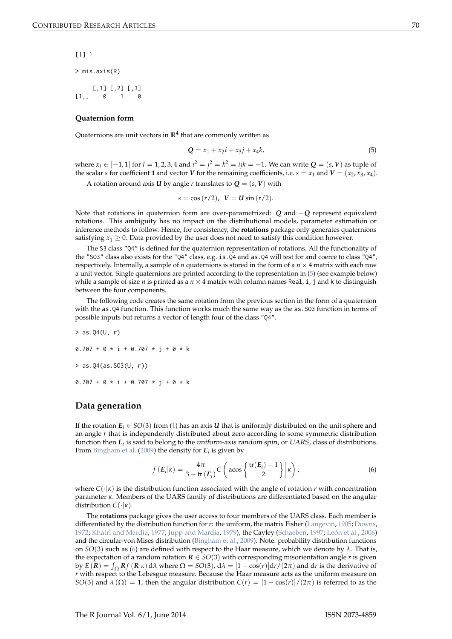<span id="page-2-2"></span>[1] 1

> mis.axis(R)

 $[0, 1]$   $[0, 2]$   $[0, 3]$  $[1,] 0 1 0$ 

#### **Quaternion form**

Quaternions are unit vectors in  $\mathbb{R}^4$  that are commonly written as

<span id="page-2-0"></span>
$$
Q = x_1 + x_2 i + x_3 j + x_4 k,
$$
\n(5)

where  $x_l$  ∈ [−1, 1] for *l* = 1, 2, 3, 4 and  $i^2 = j^2 = k^2 = ijk = −1$ . We can write  $Q = (s, V)$  as tuple of the scalar *s* for coefficient **1** and vector *V* for the remaining coefficients, i.e.  $s = x_1$  and  $V = (x_2, x_3, x_4)$ .

A rotation around axis *U* by angle *r* translates to  $Q = (s, V)$  with

$$
s = \cos(r/2), V = U \sin(r/2).
$$

Note that rotations in quaternion form are over-parametrized: *Q* and −*Q* represent equivalent rotations. This ambiguity has no impact on the distributional models, parameter estimation or inference methods to follow. Hence, for consistency, the **rotations** package only generates quaternions satisfying  $x_1 \geq 0$ . Data provided by the user does not need to satisfy this condition however.

The S3 class "Q4" is defined for the quaternion representation of rotations. All the functionality of the "SO3" class also exists for the "Q4" class, e.g. is.Q4 and as.Q4 will test for and coerce to class "Q4", respectively. Internally, a sample of *n* quaternions is stored in the form of a  $n \times 4$  matrix with each row a unit vector. Single quaternions are printed according to the representation in [\(5\)](#page-2-0) (see example below) while a sample of size *n* is printed as a  $n \times 4$  matrix with column names Real, i, j and k to distinguish between the four components.

The following code creates the same rotation from the previous section in the form of a quaternion with the as.Q4 function. This function works much the same way as the as.SO3 function in terms of possible inputs but returns a vector of length four of the class "Q4".

 $> as.04(U, r)$  $0.707 + 0 * i + 0.707 * i + 0 * k$ > as.Q4(as.SO3(U, r))  $0.707 + 0 \times i + 0.707 \times i + 0 \times k$ 

## **Data generation**

If the rotation  $E_i \in SO(3)$  from [\(1\)](#page-0-0) has an axis *U* that is uniformly distributed on the unit sphere and an angle *r* that is independently distributed about zero according to some symmetric distribution function then *E<sup>i</sup>* is said to belong to the uniform-axis random spin, or UARS, class of distributions. From [Bingham et al.](#page-8-0) [\(2009\)](#page-8-0) the density for *E<sup>i</sup>* is given by

<span id="page-2-1"></span>
$$
f\left(\mathbf{E}_{i}|\kappa\right) = \frac{4\pi}{3 - \text{tr}\left(\mathbf{E}_{i}\right)} C\left(\arccos\left\{\frac{\text{tr}\left(\mathbf{E}_{i}\right) - 1}{2}\right\} \middle| \kappa\right),\tag{6}
$$

where  $C(\cdot|\kappa)$  is the distribution function associated with the angle of rotation *r* with concentration parameter *κ*. Members of the UARS family of distributions are differentiated based on the angular distribution *C*(·|*κ*).

The **rotations** package gives the user access to four members of the UARS class. Each member is differentiated by the distribution function for *r*: the uniform, the matrix Fisher [\(Langevin,](#page-9-6) [1905;](#page-9-6) [Downs,](#page-9-7) [1972;](#page-9-7) [Khatri and Mardia,](#page-9-8) [1977;](#page-9-8) [Jupp and Mardia,](#page-9-9) [1979\)](#page-9-9), the Cayley [\(Schaeben,](#page-9-10) [1997;](#page-9-10) [León et al.,](#page-9-11) [2006\)](#page-9-11) and the circular-von Mises distribution [\(Bingham et al.,](#page-8-0) [2009\)](#page-8-0). Note: probability distribution functions on *SO*(3) such as [\(6\)](#page-2-1) are defined with respect to the Haar measure, which we denote by *λ*. That is, the expectation of a random rotation  $R \in SO(3)$  with corresponding misorientation angle *r* is given by  $E(R) = \int_{\Omega} Rf(R|x) d\lambda$  where  $\Omega = SO(3)$ ,  $d\lambda = [1 - \cos(r)]dr/(2\pi)$  and dr is the derivative of *r* with respect to the Lebesgue measure. Because the Haar measure acts as the uniform measure on *SO*(3) and  $\lambda(\Omega) = 1$ , then the angular distribution  $C(r) = \frac{1 - \cos(r)}{2\pi i}$  is referred to as the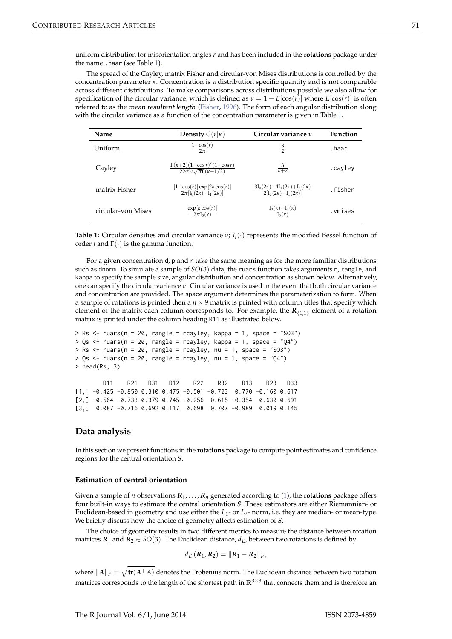<span id="page-3-1"></span>uniform distribution for misorientation angles *r* and has been included in the **rotations** package under the name .haar (see Table [1\)](#page-3-0).

The spread of the Cayley, matrix Fisher and circular-von Mises distributions is controlled by the concentration parameter *κ*. Concentration is a distribution specific quantity and is not comparable across different distributions. To make comparisons across distributions possible we also allow for specification of the circular variance, which is defined as  $\nu = 1 - E[\cos(r)]$  where  $E[\cos(r)]$  is often referred to as the mean resultant length [\(Fisher,](#page-9-12) [1996\)](#page-9-12). The form of each angular distribution along with the circular variance as a function of the concentration parameter is given in Table [1.](#page-3-0)

<span id="page-3-0"></span>

| Name               | <b>Density</b> $C(r \kappa)$                                                                       | Circular variance $\nu$                                                          | <b>Function</b> |
|--------------------|----------------------------------------------------------------------------------------------------|----------------------------------------------------------------------------------|-----------------|
| Uniform            | $1-\cos(r)$<br>$2\pi$                                                                              | $\frac{3}{2}$                                                                    | .haar           |
| Cayley             | $\frac{\Gamma(\kappa+2)(1+\cos r)^{\kappa}(1-\cos r)}{2^{(\kappa+1)}\sqrt{\pi}\Gamma(\kappa+1/2)}$ | $\frac{3}{\kappa+2}$                                                             | .cayley         |
| matrix Fisher      | $[1-\cos(r)] \exp[2\kappa \cos(r)]$<br>$2\pi[I_0(2\kappa)-I_1(2\kappa)]$                           | $3I_0(2\kappa) - 4I_1(2\kappa) + I_2(2\kappa)$<br>$2[I_0(2\kappa)-I_1(2\kappa)]$ | fisher          |
| circular-von Mises | $\exp[\kappa \cos(r)]$<br>$2\pi I_0(\kappa)$                                                       | $\frac{I_0(\kappa)-I_1(\kappa)}{I_0(\kappa)}$                                    | .vmises         |

**Table 1:** Circular densities and circular variance  $v$ ;  $I_i(\cdot)$  represents the modified Bessel function of order *i* and  $\Gamma(\cdot)$  is the gamma function.

For a given concentration d, p and r take the same meaning as for the more familiar distributions such as dnorm. To simulate a sample of *SO*(3) data, the ruars function takes arguments n, rangle, and kappa to specify the sample size, angular distribution and concentration as shown below. Alternatively, one can specify the circular variance *ν*. Circular variance is used in the event that both circular variance and concentration are provided. The space argument determines the parameterization to form. When a sample of rotations is printed then a  $n \times 9$  matrix is printed with column titles that specify which element of the matrix each column corresponds to. For example, the  $R_{\{1,1\}}$  element of a rotation matrix is printed under the column heading R11 as illustrated below.

```
> Rs <- ruars(n = 20, rangle = rcayley, kappa = 1, space = "SO3")
> Qs \leq ruars(n = 20, rangle = rcayley, kappa = 1, space = "Q4")
> Rs <- ruars(n = 20, rangle = rcayley, nu = 1, space = "SO3")
> Qs <- ruars(n = 20, rangle = rcayley, nu = 1, space = "Q4")
> head(Rs, 3)
       R11 R21 R31 R12 R22 R32 R13 R23 R33
```
[1,] -0.425 -0.850 0.310 0.475 -0.501 -0.723 0.770 -0.160 0.617 [2,] -0.564 -0.733 0.379 0.745 -0.256 0.615 -0.354 0.630 0.691 [3,] 0.087 -0.716 0.692 0.117 0.698 0.707 -0.989 0.019 0.145

## **Data analysis**

In this section we present functions in the **rotations** package to compute point estimates and confidence regions for the central orientation *S*.

#### **Estimation of central orientation**

Given a sample of *n* observations  $R_1, \ldots, R_n$  generated according to [\(1\)](#page-0-0), the **rotations** package offers four built-in ways to estimate the central orientation *S*. These estimators are either Riemannian- or Euclidean-based in geometry and use either the *L*<sup>1</sup> - or *L*2- norm, i.e. they are median- or mean-type. We briefly discuss how the choice of geometry affects estimation of *S*.

The choice of geometry results in two different metrics to measure the distance between rotation matrices  $R_1$  and  $R_2 \in SO(3)$ . The Euclidean distance,  $d_E$ , between two rotations is defined by

$$
d_E (R_1, R_2) = ||R_1 - R_2||_F,
$$

where  $\|A\|_F = \sqrt{\text{tr}(A^\top A)}$  denotes the Frobenius norm. The Euclidean distance between two rotation matrices corresponds to the length of the shortest path in **R**3×<sup>3</sup> that connects them and is therefore an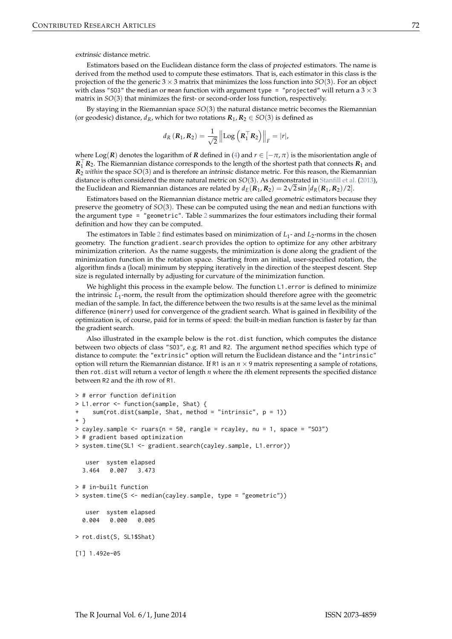<span id="page-4-0"></span>extrinsic distance metric.

Estimators based on the Euclidean distance form the class of projected estimators. The name is derived from the method used to compute these estimators. That is, each estimator in this class is the projection of the the generic  $3 \times 3$  matrix that minimizes the loss function into  $SO(3)$ . For an object with class "SO3" the median or mean function with argument type = "projected" will return a  $3 \times 3$ matrix in *SO*(3) that minimizes the first- or second-order loss function, respectively.

By staying in the Riemannian space *SO*(3) the natural distance metric becomes the Riemannian (or geodesic) distance,  $d_R$ , which for two rotations  $R_1, R_2 \in SO(3)$  is defined as

$$
d_{R}(\mathbf{R}_{1}, \mathbf{R}_{2}) = \frac{1}{\sqrt{2}} \left\| \mathrm{Log}\left(\mathbf{R}_{1}^{\top} \mathbf{R}_{2}\right) \right\|_{F} = |r|,
$$

where Log(*R*) denotes the logarithm of *R* defined in [\(4\)](#page-1-2) and  $r \in [-\pi, \pi)$  is the misorientation angle of  $R_1$ <sup>T</sup> $R_2$ . The Riemannian distance corresponds to the length of the shortest path that connects  $R_1$  and *R*<sup>2</sup> *within* the space *SO*(3) and is therefore an intrinsic distance metric. For this reason, the Riemannian distance is often considered the more natural metric on *SO*(3). As demonstrated in [Stanfill et al.](#page-10-1) [\(2013\)](#page-10-1), the Euclidean and Riemannian distances are related by  $d_E(R_1,R_2) = 2\sqrt{2}\sin{[d_R(R_1,R_2)/2]}.$ 

Estimators based on the Riemannian distance metric are called geometric estimators because they preserve the geometry of *SO*(3). These can be computed using the mean and median functions with the argument type = "geometric". Table [2](#page-5-0) summarizes the four estimators including their formal definition and how they can be computed.

The estimators in Table [2](#page-5-0) find estimates based on minimization of  $L_1$ - and  $L_2$ -norms in the chosen geometry. The function gradient.search provides the option to optimize for any other arbitrary minimization criterion. As the name suggests, the minimization is done along the gradient of the minimization function in the rotation space. Starting from an initial, user-specified rotation, the algorithm finds a (local) minimum by stepping iteratively in the direction of the steepest descent. Step size is regulated internally by adjusting for curvature of the minimization function.

We highlight this process in the example below. The function L1.error is defined to minimize the intrinsic *L*<sup>1</sup> -norm, the result from the optimization should therefore agree with the geometric median of the sample. In fact, the difference between the two results is at the same level as the minimal difference (minerr) used for convergence of the gradient search. What is gained in flexibility of the optimization is, of course, paid for in terms of speed: the built-in median function is faster by far than the gradient search.

Also illustrated in the example below is the rot.dist function, which computes the distance between two objects of class "SO3", e.g. R1 and R2. The argument method specifies which type of distance to compute: the "extrinsic" option will return the Euclidean distance and the "intrinsic" option will return the Riemannian distance. If R1 is an  $n \times 9$  matrix representing a sample of rotations, then rot.dist will return a vector of length *n* where the *i*th element represents the specified distance between R2 and the *i*th row of R1.

```
> # error function definition
> L1.error <- function(sample, Shat) {
+ sum(rot.dist(sample, Shat, method = "intrinsic", p = 1))
+ }
> cayley.sample <- ruars(n = 50, rangle = rcayley, nu = 1, space = "SO3")
> # gradient based optimization
> system.time(SL1 <- gradient.search(cayley.sample, L1.error))
  user system elapsed
 3.464 0.007 3.473
> # in-built function
> system.time(S <- median(cayley.sample, type = "geometric"))
  user system elapsed
 0.004 0.000 0.005
> rot.dist(S, SL1$Shat)
[1] 1.492e-05
```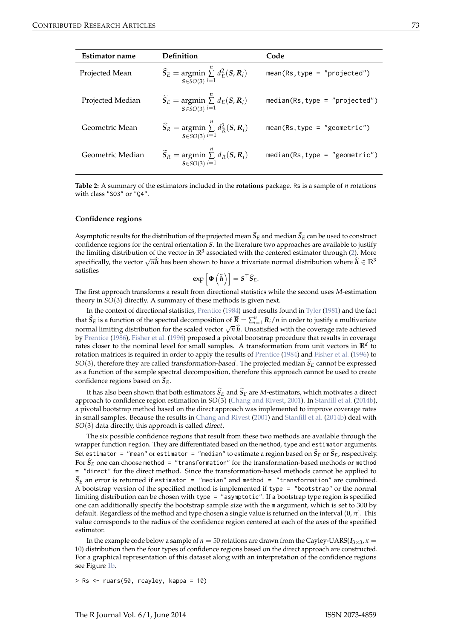<span id="page-5-1"></span><span id="page-5-0"></span>

| Estimator name   | Definition                                                                          | Code                             |
|------------------|-------------------------------------------------------------------------------------|----------------------------------|
| Projected Mean   | $\widehat{S}_E$ = argmin $\sum_{i=1}^{n} d_E^2(S, R_i)$<br>$S \in SO(3) i=1$        | $mean(Rs, type = "projected")$   |
| Projected Median | $\widetilde{S}_E$ = argmin $\sum_{i=1}^{n} d_E(S, R_i)$<br>$S\in SO(3)$ <i>i</i> =1 | $median(Rs, type = "projected")$ |
| Geometric Mean   | $\widehat{S}_R$ = argmin $\sum_{i=1}^{n} d_R^2(S, R_i)$<br>$S\in SO(3)$ <i>i</i> =1 | $mean(Rs, type = "geometric")$   |
| Geometric Median | $\widetilde{S}_R$ = argmin $\sum_{i=1}^{n} d_R(S, R_i)$<br>$S\in SO(3)$ <i>i</i> =1 | $median(Rs, type = "geometric")$ |

**Table 2:** A summary of the estimators included in the **rotations** package. Rs is a sample of *n* rotations with class "SO3" or "Q4".

#### **Confidence regions**

Asymptotic results for the distribution of the projected mean  $S_E$  and median  $S_E$  can be used to construct confidence regions for the central orientation *S*. In the literature two approaches are available to justify the limiting distribution of the vector in  $\mathbb{R}^3$  associated with the centered estimator through [\(2\)](#page-1-0). More specifically, the vector  $\sqrt{n}\hat{h}$  has been shown to have a trivariate normal distribution where  $\hat{h} \in \mathbb{R}^3$ satisfies

$$
\exp\left[\boldsymbol{\Phi}\left(\widehat{{\pmb{h}}}\right)\right] = \boldsymbol{S}^\top \widehat{\boldsymbol{S}}_E.
$$

The first approach transforms a result from directional statistics while the second uses *M*-estimation theory in *SO*(3) directly. A summary of these methods is given next.

In the context of directional statistics, [Prentice](#page-9-13) [\(1984\)](#page-9-13) used results found in [Tyler](#page-10-2) [\(1981\)](#page-10-2) and the fact that  $\widehat{S}_E$  is a function of the spectral decomposition of  $\overline{R} = \sum_{i=1}^n R_i/n$  in order to justify a multivariate normal limiting distribution for the scaled vector  $\sqrt{n} \hat{h}$ . Unsatisfied with the coverage rate achieved by [Prentice](#page-9-14) [\(1986\)](#page-9-14), [Fisher et al.](#page-9-15) [\(1996\)](#page-9-15) proposed a pivotal bootstrap procedure that results in coverage rates closer to the nominal level for small samples. A transformation from unit vectors in **R***<sup>d</sup>* to rotation matrices is required in order to apply the results of [Prentice](#page-9-13) [\(1984\)](#page-9-13) and [Fisher et al.](#page-9-15) [\(1996\)](#page-9-15) to  $SO(3)$ , therefore they are called *transformation-based*. The projected median  $S_E$  cannot be expressed as a function of the sample spectral decomposition, therefore this approach cannot be used to create confidence regions based on  $S_E$ .

It has also been shown that both estimators  $S_E$  and  $S_E$  are *M*-estimators, which motivates a direct approach to confidence region estimation in *SO*(3) [\(Chang and Rivest,](#page-9-16) [2001\)](#page-9-16). In [Stanfill et al.](#page-10-3) [\(2014b\)](#page-10-3), a pivotal bootstrap method based on the direct approach was implemented to improve coverage rates in small samples. Because the results in [Chang and Rivest](#page-9-16) [\(2001\)](#page-9-16) and [Stanfill et al.](#page-10-3) [\(2014b\)](#page-10-3) deal with *SO*(3) data directly, this approach is called direct.

The six possible confidence regions that result from these two methods are available through the wrapper function region. They are differentiated based on the method, type and estimator arguments. Set estimator = "mean" or estimator = "median" to estimate a region based on  $S_E$  or  $S_E$ , respectively. For  $S_E$  one can choose method = "transformation" for the transformation-based methods or method = "direct" for the direct method. Since the transformation-based methods cannot be applied to  $S_E$  an error is returned if estimator = "median" and method = "transformation" are combined. A bootstrap version of the specified method is implemented if type = "bootstrap" or the normal limiting distribution can be chosen with type = "asymptotic". If a bootstrap type region is specified one can additionally specify the bootstrap sample size with the m argument, which is set to 300 by default. Regardless of the method and type chosen a single value is returned on the interval (0, *π*]. This value corresponds to the radius of the confidence region centered at each of the axes of the specified estimator.

In the example code below a sample of  $n = 50$  rotations are drawn from the Cayley-UARS( $I_{3\times 3}$ ,  $\kappa =$ 10) distribution then the four types of confidence regions based on the direct approach are constructed. For a graphical representation of this dataset along with an interpretation of the confidence regions see Figure [1b.](#page-7-0)

> Rs <- ruars(50, rcayley, kappa = 10)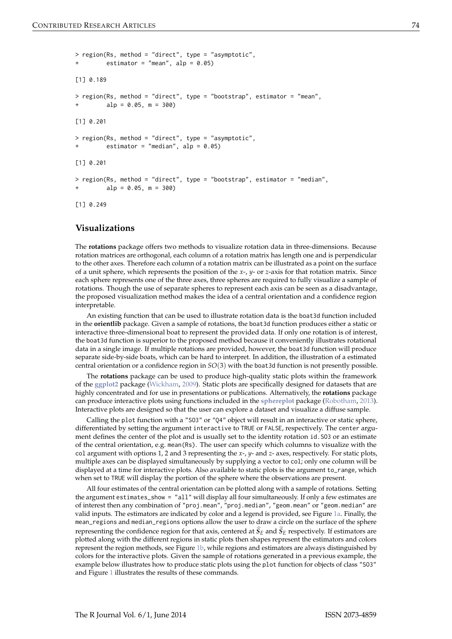```
> region(Rs, method = "direct", type = "asymptotic",
        estimator = "mean", alp = 0.05)
[1] 0.189
> region(Rs, method = "direct", type = "bootstrap", estimator = "mean",
         alp = 0.05, m = 300[1] 0.201
> region(Rs, method = "direct", type = "asymptotic",
        estimator = "median", alp = 0.05)
[1] 0.201
> region(Rs, method = "direct", type = "bootstrap", estimator = "median",
         alp = 0.05, m = 300[1] 0.249
```
## **Visualizations**

The **rotations** package offers two methods to visualize rotation data in three-dimensions. Because rotation matrices are orthogonal, each column of a rotation matrix has length one and is perpendicular to the other axes. Therefore each column of a rotation matrix can be illustrated as a point on the surface of a unit sphere, which represents the position of the *x*-, *y*- or *z*-axis for that rotation matrix. Since each sphere represents one of the three axes, three spheres are required to fully visualize a sample of rotations. Though the use of separate spheres to represent each axis can be seen as a disadvantage, the proposed visualization method makes the idea of a central orientation and a confidence region interpretable.

An existing function that can be used to illustrate rotation data is the boat3d function included in the **orientlib** package. Given a sample of rotations, the boat3d function produces either a static or interactive three-dimensional boat to represent the provided data. If only one rotation is of interest, the boat3d function is superior to the proposed method because it conveniently illustrates rotational data in a single image. If multiple rotations are provided, however, the boat3d function will produce separate side-by-side boats, which can be hard to interpret. In addition, the illustration of a estimated central orientation or a confidence region in *SO*(3) with the boat3d function is not presently possible.

The **rotations** package can be used to produce high-quality static plots within the framework of the **[ggplot2](http://CRAN.R-project.org/package=ggplot2)** package [\(Wickham,](#page-10-4) [2009\)](#page-10-4). Static plots are specifically designed for datasets that are highly concentrated and for use in presentations or publications. Alternatively, the **rotations** package can produce interactive plots using functions included in the **[sphereplot](http://CRAN.R-project.org/package=sphereplot)** package [\(Robotham,](#page-9-17) [2013\)](#page-9-17). Interactive plots are designed so that the user can explore a dataset and visualize a diffuse sample.

Calling the plot function with a "SO3" or "Q4" object will result in an interactive or static sphere, differentiated by setting the argument interactive to TRUE or FALSE, respectively. The center argument defines the center of the plot and is usually set to the identity rotation id.SO3 or an estimate of the central orientation, e.g. mean(Rs). The user can specify which columns to visualize with the col argument with options 1, 2 and 3 representing the *x*-, *y*- and *z*- axes, respectively. For static plots, multiple axes can be displayed simultaneously by supplying a vector to col; only one column will be displayed at a time for interactive plots. Also available to static plots is the argument to\_range, which when set to TRUE will display the portion of the sphere where the observations are present.

All four estimates of the central orientation can be plotted along with a sample of rotations. Setting the argument estimates\_show = "all" will display all four simultaneously. If only a few estimates are of interest then any combination of "proj.mean", "proj.median", "geom.mean" or "geom.median" are valid inputs. The estimators are indicated by color and a legend is provided, see Figure [1a.](#page-7-0) Finally, the mean\_regions and median\_regions options allow the user to draw a circle on the surface of the sphere representing the confidence region for that axis, centered at  $S_E$  and  $S_E$  respectively. If estimators are plotted along with the different regions in static plots then shapes represent the estimators and colors represent the region methods, see Figure [1b,](#page-7-0) while regions and estimators are always distinguished by colors for the interactive plots. Given the sample of rotations generated in a previous example, the example below illustrates how to produce static plots using the plot function for objects of class "SO3" and Figure [1](#page-7-0) illustrates the results of these commands.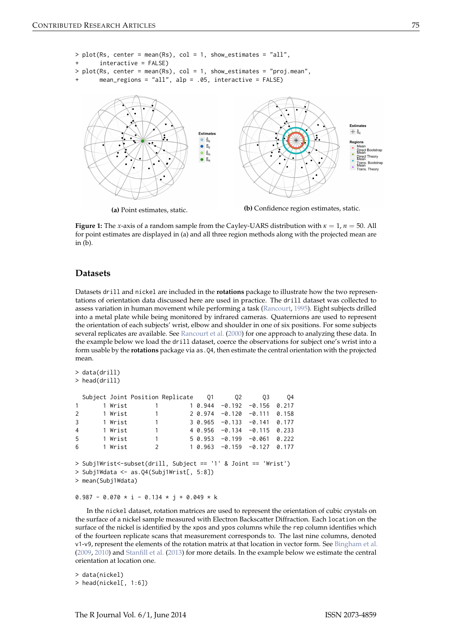<span id="page-7-1"></span><span id="page-7-0"></span>

**Figure 1:** The *x*-axis of a random sample from the Cayley-UARS distribution with  $\kappa = 1$ ,  $n = 50$ . All for point estimates are displayed in (a) and all three region methods along with the projected mean are in (b).

## **Datasets**

Datasets drill and nickel are included in the **rotations** package to illustrate how the two representations of orientation data discussed here are used in practice. The drill dataset was collected to assess variation in human movement while performing a task [\(Rancourt,](#page-9-18) [1995\)](#page-9-18). Eight subjects drilled into a metal plate while being monitored by infrared cameras. Quaternions are used to represent the orientation of each subjects' wrist, elbow and shoulder in one of six positions. For some subjects several replicates are available. See [Rancourt et al.](#page-9-1) [\(2000\)](#page-9-1) for one approach to analyzing these data. In the example below we load the drill dataset, coerce the observations for subject one's wrist into a form usable by the **rotations** package via as . Q4, then estimate the central orientation with the projected mean.

```
> data(drill)
> head(drill)
 Subject Joint Position Replicate  Q1  Q2  Q3  Q4
1 1 Wrist 1 1 0.944 -0.192 -0.156 0.217
2 1 Wrist 1 2 0.974 -0.120 -0.111 0.158
3 1 Wrist 1 3 0.965 -0.133 -0.141 0.177
4 1 Wrist 1 4 0.956 -0.134 -0.115 0.233
5 1 Wrist 1 5 0.953 -0.199 -0.061 0.222
6 1 Wrist 2 1 0.963 -0.159 -0.127 0.177
> Subj1Wrist<-subset(drill, Subject == '1' & Joint == 'Wrist')
> Subj1Wdata <- as.Q4(Subj1Wrist[, 5:8])
> mean(Subj1Wdata)
```
 $0.987 - 0.070 * i - 0.134 * j + 0.049 * k$ 

In the nickel dataset, rotation matrices are used to represent the orientation of cubic crystals on the surface of a nickel sample measured with Electron Backscatter Diffraction. Each location on the surface of the nickel is identified by the xpos and ypos columns while the rep column identifies which of the fourteen replicate scans that measurement corresponds to. The last nine columns, denoted v1-v9, represent the elements of the rotation matrix at that location in vector form. See [Bingham et al.](#page-8-0) [\(2009,](#page-8-0) [2010\)](#page-9-19) and [Stanfill et al.](#page-10-1) [\(2013\)](#page-10-1) for more details. In the example below we estimate the central orientation at location one.

> data(nickel) > head(nickel[, 1:6])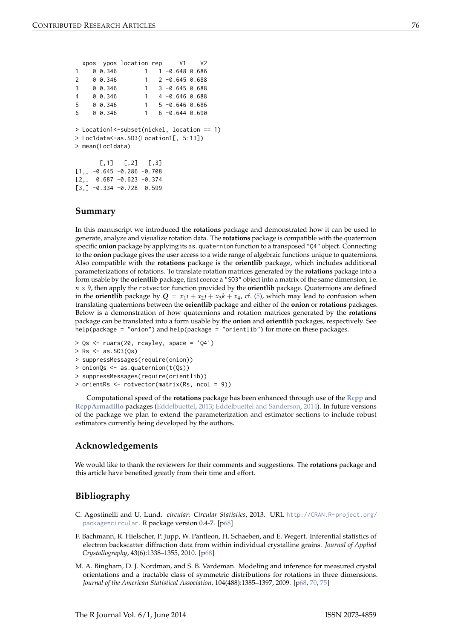<span id="page-8-3"></span>

|                                       |                                            |          | xpos ypos location rep V1                                  |              |  |                                      | V <sub>2</sub> |  |
|---------------------------------------|--------------------------------------------|----------|------------------------------------------------------------|--------------|--|--------------------------------------|----------------|--|
| 1                                     |                                            | 0 0.346  |                                                            | 1            |  | $1 - 0.648$ 0.686                    |                |  |
| 2                                     |                                            | 00.346   | $\sim$ 1                                                   |              |  | $2 - 0.645 0.688$                    |                |  |
| 3                                     |                                            | 00.346   | $\overline{\phantom{0}}$ 1                                 |              |  | 3 -0.645 0.688                       |                |  |
| 4                                     |                                            | 00.346   |                                                            |              |  | $1 \quad 4 \quad -0.646 \quad 0.688$ |                |  |
| 5                                     |                                            | 00.346   |                                                            |              |  | $1 \quad 5 - 0.646 \quad 0.686$      |                |  |
| 6                                     |                                            | 0, 0.346 |                                                            | $\mathbf{1}$ |  | $6 - 0.644 0.690$                    |                |  |
|                                       |                                            |          |                                                            |              |  |                                      |                |  |
|                                       | > Location1<-subset(nickel, location == 1) |          |                                                            |              |  |                                      |                |  |
| > Loc1data<-as.S03(Location1[, 5:13]) |                                            |          |                                                            |              |  |                                      |                |  |
| > mean(Loc1data)                      |                                            |          |                                                            |              |  |                                      |                |  |
|                                       |                                            |          |                                                            |              |  |                                      |                |  |
|                                       |                                            |          | $[0,1]$ $[0,2]$ $[0,3]$                                    |              |  |                                      |                |  |
|                                       |                                            |          | $\lceil 1, \rceil$ -0.645 -0.286 -0.708                    |              |  |                                      |                |  |
|                                       |                                            |          | $[2,]$ 0.687 -0.623 -0.374                                 |              |  |                                      |                |  |
|                                       |                                            |          | $\begin{bmatrix} 3 \\ 1 \end{bmatrix}$ -0.334 -0.728 0.599 |              |  |                                      |                |  |
|                                       |                                            |          |                                                            |              |  |                                      |                |  |

## **Summary**

In this manuscript we introduced the **rotations** package and demonstrated how it can be used to generate, analyze and visualize rotation data. The **rotations** package is compatible with the quaternion specific **onion** package by applying its as.quaternion function to a transposed "Q4" object. Connecting to the **onion** package gives the user access to a wide range of algebraic functions unique to quaternions. Also compatible with the **rotations** package is the **orientlib** package, which includes additional parameterizations of rotations. To translate rotation matrices generated by the **rotations** package into a form usable by the **orientlib** package, first coerce a "SO3" object into a matrix of the same dimension, i.e.  $n \times 9$ , then apply the rotvector function provided by the **orientlib** package. Quaternions are defined in the **orientlib** package by  $Q = x_1 i + x_2 j + x_3 k + x_4$ , cf. [\(5\)](#page-2-0), which may lead to confusion when translating quaternions between the **orientlib** package and either of the **onion** or **rotations** packages. Below is a demonstration of how quaternions and rotation matrices generated by the **rotations** package can be translated into a form usable by the **onion** and **orientlib** packages, respectively. See help(package = "onion") and help(package = "orientlib") for more on these packages.

```
> Qs <- ruars(20, rcayley, space = 'Q4')
```

```
> Rs <- as. SO3(Qs)
```

```
> suppressMessages(require(onion))
```

```
> onionQs <- as.quaternion(t(Qs))
```

```
> suppressMessages(require(orientlib))
```

```
> orientRs <- rotvector(matrix(Rs, ncol = 9))
```
Computational speed of the **rotations** package has been enhanced through use of the **[Rcpp](http://CRAN.R-project.org/package=Rcpp)** and **[RcppArmadillo](http://CRAN.R-project.org/package=RcppArmadillo)** packages [\(Eddelbuettel,](#page-9-20) [2013;](#page-9-20) [Eddelbuettel and Sanderson,](#page-9-21) [2014\)](#page-9-21). In future versions of the package we plan to extend the parameterization and estimator sections to include robust estimators currently being developed by the authors.

## **Acknowledgements**

We would like to thank the reviewers for their comments and suggestions. The **rotations** package and this article have benefited greatly from their time and effort.

## **Bibliography**

- <span id="page-8-2"></span>C. Agostinelli and U. Lund. *circular: Circular Statistics*, 2013. URL [http://CRAN.R-project.org/](http://CRAN.R-project.org/package=circular) [package=circular](http://CRAN.R-project.org/package=circular). R package version 0.4-7. [[p68\]](#page-0-1)
- <span id="page-8-1"></span>F. Bachmann, R. Hielscher, P. Jupp, W. Pantleon, H. Schaeben, and E. Wegert. Inferential statistics of electron backscatter diffraction data from within individual crystalline grains. *Journal of Applied Crystallography*, 43(6):1338–1355, 2010. [[p68\]](#page-0-1)
- <span id="page-8-0"></span>M. A. Bingham, D. J. Nordman, and S. B. Vardeman. Modeling and inference for measured crystal orientations and a tractable class of symmetric distributions for rotations in three dimensions. *Journal of the American Statistical Association*, 104(488):1385–1397, 2009. [[p68,](#page-0-1) [70,](#page-2-2) [75\]](#page-7-1)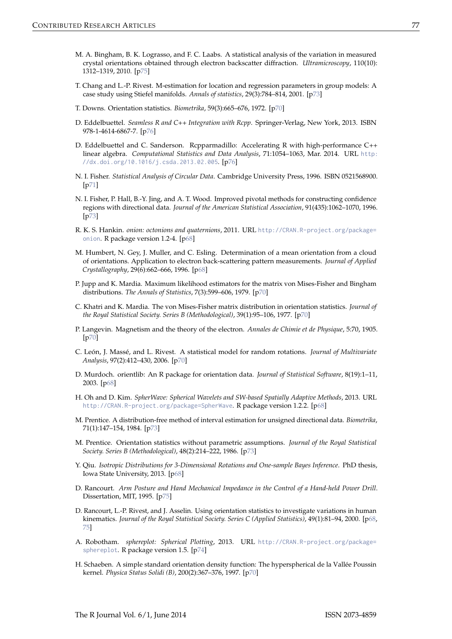- <span id="page-9-19"></span>M. A. Bingham, B. K. Lograsso, and F. C. Laabs. A statistical analysis of the variation in measured crystal orientations obtained through electron backscatter diffraction. *Ultramicroscopy*, 110(10): 1312–1319, 2010. [[p75\]](#page-7-1)
- <span id="page-9-16"></span>T. Chang and L.-P. Rivest. M-estimation for location and regression parameters in group models: A case study using Stiefel manifolds. *Annals of statistics*, 29(3):784–814, 2001. [[p73\]](#page-5-1)
- <span id="page-9-7"></span>T. Downs. Orientation statistics. *Biometrika*, 59(3):665–676, 1972. [[p70\]](#page-2-2)
- <span id="page-9-20"></span>D. Eddelbuettel. *Seamless R and C++ Integration with Rcpp*. Springer-Verlag, New York, 2013. ISBN 978-1-4614-6867-7. [[p76\]](#page-8-3)
- <span id="page-9-21"></span>D. Eddelbuettel and C. Sanderson. Rcpparmadillo: Accelerating R with high-performance C++ linear algebra. *Computational Statistics and Data Analysis*, 71:1054–1063, Mar. 2014. URL [http:](http://dx.doi.org/10.1016/j.csda.2013.02.005) [//dx.doi.org/10.1016/j.csda.2013.02.005](http://dx.doi.org/10.1016/j.csda.2013.02.005). [[p76\]](#page-8-3)
- <span id="page-9-12"></span>N. I. Fisher. *Statistical Analysis of Circular Data*. Cambridge University Press, 1996. ISBN 0521568900.  $[p71]$  $[p71]$
- <span id="page-9-15"></span>N. I. Fisher, P. Hall, B.-Y. Jing, and A. T. Wood. Improved pivotal methods for constructing confidence regions with directional data. *Journal of the American Statistical Association*, 91(435):1062–1070, 1996. [[p73\]](#page-5-1)
- <span id="page-9-3"></span>R. K. S. Hankin. *onion: octonions and quaternions*, 2011. URL [http://CRAN.R-project.org/package=](http://CRAN.R-project.org/package=onion) [onion](http://CRAN.R-project.org/package=onion). R package version 1.2-4. [[p68\]](#page-0-1)
- <span id="page-9-0"></span>M. Humbert, N. Gey, J. Muller, and C. Esling. Determination of a mean orientation from a cloud of orientations. Application to electron back-scattering pattern measurements. *Journal of Applied Crystallography*, 29(6):662–666, 1996. [[p68\]](#page-0-1)
- <span id="page-9-9"></span>P. Jupp and K. Mardia. Maximum likelihood estimators for the matrix von Mises-Fisher and Bingham distributions. *The Annals of Statistics*, 7(3):599–606, 1979. [[p70\]](#page-2-2)
- <span id="page-9-8"></span>C. Khatri and K. Mardia. The von Mises-Fisher matrix distribution in orientation statistics. *Journal of the Royal Statistical Society. Series B (Methodological)*, 39(1):95–106, 1977. [[p70\]](#page-2-2)
- <span id="page-9-6"></span>P. Langevin. Magnetism and the theory of the electron. *Annales de Chimie et de Physique*, 5:70, 1905. [[p70\]](#page-2-2)
- <span id="page-9-11"></span>C. León, J. Massé, and L. Rivest. A statistical model for random rotations. *Journal of Multivariate Analysis*, 97(2):412–430, 2006. [[p70\]](#page-2-2)
- <span id="page-9-2"></span>D. Murdoch. orientlib: An R package for orientation data. *Journal of Statistical Software*, 8(19):1–11, 2003. [[p68\]](#page-0-1)
- <span id="page-9-5"></span>H. Oh and D. Kim. *SpherWave: Spherical Wavelets and SW-based Spatially Adaptive Methods*, 2013. URL <http://CRAN.R-project.org/package=SpherWave>. R package version 1.2.2. [[p68\]](#page-0-1)
- <span id="page-9-13"></span>M. Prentice. A distribution-free method of interval estimation for unsigned directional data. *Biometrika*, 71(1):147–154, 1984. [[p73\]](#page-5-1)
- <span id="page-9-14"></span>M. Prentice. Orientation statistics without parametric assumptions. *Journal of the Royal Statistical Society. Series B (Methodological)*, 48(2):214–222, 1986. [[p73\]](#page-5-1)
- <span id="page-9-4"></span>Y. Qiu. *Isotropic Distributions for 3-Dimensional Rotations and One-sample Bayes Inference*. PhD thesis, Iowa State University, 2013. [[p68\]](#page-0-1)
- <span id="page-9-18"></span>D. Rancourt. *Arm Posture and Hand Mechanical Impedance in the Control of a Hand-held Power Drill*. Dissertation, MIT, 1995. [[p75\]](#page-7-1)
- <span id="page-9-1"></span>D. Rancourt, L.-P. Rivest, and J. Asselin. Using orientation statistics to investigate variations in human kinematics. *Journal of the Royal Statistical Society. Series C (Applied Statistics)*, 49(1):81–94, 2000. [[p68,](#page-0-1) [75\]](#page-7-1)
- <span id="page-9-17"></span>A. Robotham. *sphereplot: Spherical Plotting*, 2013. URL [http://CRAN.R-project.org/package=](http://CRAN.R-project.org/package=sphereplot) [sphereplot](http://CRAN.R-project.org/package=sphereplot). R package version 1.5. [[p74\]](#page-6-0)
- <span id="page-9-10"></span>H. Schaeben. A simple standard orientation density function: The hyperspherical de la Vallée Poussin kernel. *Physica Status Solidi (B)*, 200(2):367–376, 1997. [[p70\]](#page-2-2)